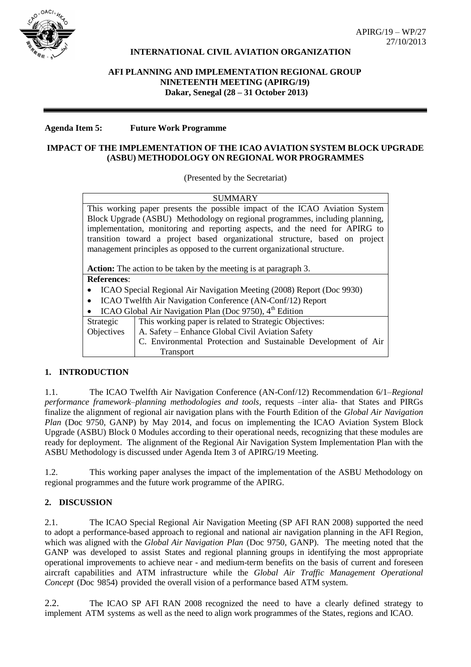

## **INTERNATIONAL CIVIL AVIATION ORGANIZATION**

# **AFI PLANNING AND IMPLEMENTATION REGIONAL GROUP NINETEENTH MEETING (APIRG/19) Dakar, Senegal (28 – 31 October 2013)**

#### **Agenda Item 5: Future Work Programme**

### **IMPACT OF THE IMPLEMENTATION OF THE ICAO AVIATION SYSTEM BLOCK UPGRADE (ASBU) METHODOLOGY ON REGIONAL WOR PROGRAMMES**

#### (Presented by the Secretariat)

| SUMMARY                                                                      |                                                                |
|------------------------------------------------------------------------------|----------------------------------------------------------------|
| This working paper presents the possible impact of the ICAO Aviation System  |                                                                |
| Block Upgrade (ASBU) Methodology on regional programmes, including planning, |                                                                |
| implementation, monitoring and reporting aspects, and the need for APIRG to  |                                                                |
| transition toward a project based organizational structure, based on project |                                                                |
| management principles as opposed to the current organizational structure.    |                                                                |
|                                                                              |                                                                |
| <b>Action:</b> The action to be taken by the meeting is at paragraph 3.      |                                                                |
| <b>References:</b>                                                           |                                                                |
| ICAO Special Regional Air Navigation Meeting (2008) Report (Doc 9930)        |                                                                |
| ICAO Twelfth Air Navigation Conference (AN-Conf/12) Report                   |                                                                |
| ICAO Global Air Navigation Plan (Doc 9750), 4 <sup>th</sup> Edition          |                                                                |
| Strategic                                                                    | This working paper is related to Strategic Objectives:         |
| Objectives                                                                   | A. Safety – Enhance Global Civil Aviation Safety               |
|                                                                              | C. Environmental Protection and Sustainable Development of Air |
|                                                                              | <b>Transport</b>                                               |

## **1. INTRODUCTION**

1.1. The ICAO Twelfth Air Navigation Conference (AN-Conf/12) Recommendation 6/1–*Regional performance framework–planning methodologies and tools*, requests –inter alia- that States and PIRGs finalize the alignment of regional air navigation plans with the Fourth Edition of the *Global Air Navigation Plan* (Doc 9750, GANP) by May 2014, and focus on implementing the ICAO Aviation System Block Upgrade (ASBU) Block 0 Modules according to their operational needs, recognizing that these modules are ready for deployment. The alignment of the Regional Air Navigation System Implementation Plan with the ASBU Methodology is discussed under Agenda Item 3 of APIRG/19 Meeting.

1.2. This working paper analyses the impact of the implementation of the ASBU Methodology on regional programmes and the future work programme of the APIRG.

## **2. DISCUSSION**

2.1. The ICAO Special Regional Air Navigation Meeting (SP AFI RAN 2008) supported the need to adopt a performance-based approach to regional and national air navigation planning in the AFI Region, which was aligned with the *Global Air Navigation Plan* (Doc 9750, GANP). The meeting noted that the GANP was developed to assist States and regional planning groups in identifying the most appropriate operational improvements to achieve near - and medium-term benefits on the basis of current and foreseen aircraft capabilities and ATM infrastructure while the *Global Air Traffic Management Operational Concept* (Doc 9854) provided the overall vision of a performance based ATM system.

2.2. The ICAO SP AFI RAN 2008 recognized the need to have a clearly defined strategy to implement ATM systems as well as the need to align work programmes of the States, regions and ICAO.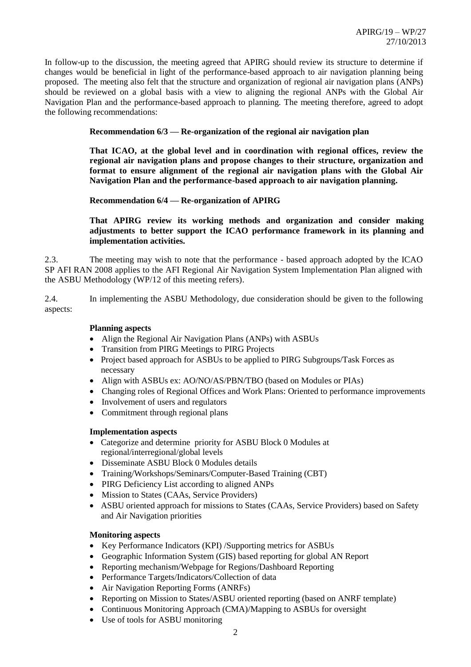In follow-up to the discussion, the meeting agreed that APIRG should review its structure to determine if changes would be beneficial in light of the performance-based approach to air navigation planning being proposed. The meeting also felt that the structure and organization of regional air navigation plans (ANPs) should be reviewed on a global basis with a view to aligning the regional ANPs with the Global Air Navigation Plan and the performance-based approach to planning. The meeting therefore, agreed to adopt the following recommendations:

## **Recommendation 6/3 — Re-organization of the regional air navigation plan**

**That ICAO, at the global level and in coordination with regional offices, review the regional air navigation plans and propose changes to their structure, organization and format to ensure alignment of the regional air navigation plans with the Global Air Navigation Plan and the performance-based approach to air navigation planning.**

**Recommendation 6/4 — Re-organization of APIRG**

**That APIRG review its working methods and organization and consider making adjustments to better support the ICAO performance framework in its planning and implementation activities.**

2.3. The meeting may wish to note that the performance - based approach adopted by the ICAO SP AFI RAN 2008 applies to the AFI Regional Air Navigation System Implementation Plan aligned with the ASBU Methodology (WP/12 of this meeting refers).

2.4. In implementing the ASBU Methodology, due consideration should be given to the following aspects:

## **Planning aspects**

- Align the Regional Air Navigation Plans (ANPs) with ASBUs
- Transition from PIRG Meetings to PIRG Projects
- Project based approach for ASBUs to be applied to PIRG Subgroups/Task Forces as necessary
- Align with ASBUs ex: AO/NO/AS/PBN/TBO (based on Modules or PIAs)
- Changing roles of Regional Offices and Work Plans: Oriented to performance improvements
- Involvement of users and regulators
- Commitment through regional plans

## **Implementation aspects**

- Categorize and determine priority for ASBU Block 0 Modules at regional/interregional/global levels
- Disseminate ASBU Block 0 Modules details
- Training/Workshops/Seminars/Computer-Based Training (CBT)
- PIRG Deficiency List according to aligned ANPs
- Mission to States (CAAs, Service Providers)
- ASBU oriented approach for missions to States (CAAs, Service Providers) based on Safety and Air Navigation priorities

## **Monitoring aspects**

- Key Performance Indicators (KPI) /Supporting metrics for ASBUs
- Geographic Information System (GIS) based reporting for global AN Report
- Reporting mechanism/Webpage for Regions/Dashboard Reporting
- Performance Targets/Indicators/Collection of data
- Air Navigation Reporting Forms (ANRFs)
- Reporting on Mission to States/ASBU oriented reporting (based on ANRF template)
- Continuous Monitoring Approach (CMA)/Mapping to ASBUs for oversight
- Use of tools for ASBU monitoring